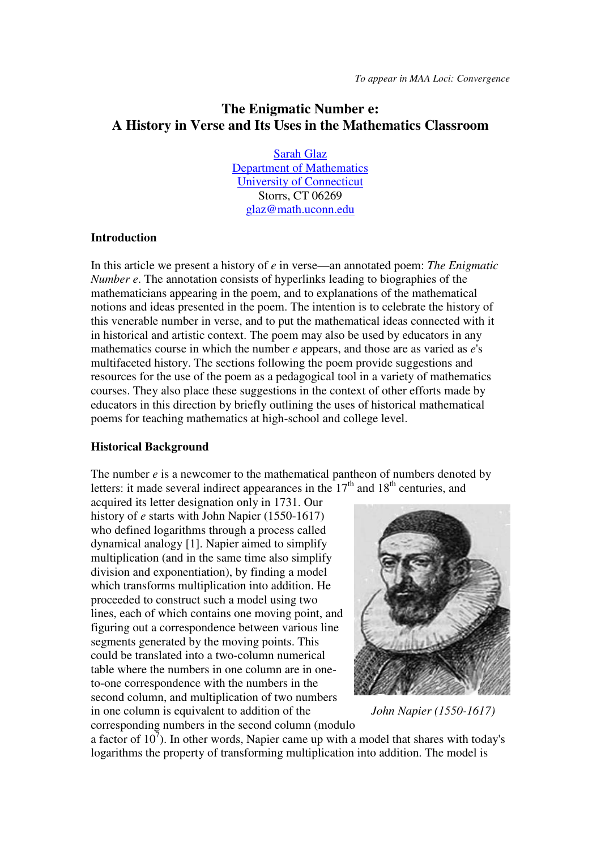# **The Enigmatic Number e: A History in Verse and Its Uses in the Mathematics Classroom**

Sarah Glaz Department of Mathematics University of Connecticut Storrs, CT 06269 glaz@math.uconn.edu

#### **Introduction**

In this article we present a history of *e* in verse—an annotated poem: *The Enigmatic Number e*. The annotation consists of hyperlinks leading to biographies of the mathematicians appearing in the poem, and to explanations of the mathematical notions and ideas presented in the poem. The intention is to celebrate the history of this venerable number in verse, and to put the mathematical ideas connected with it in historical and artistic context. The poem may also be used by educators in any mathematics course in which the number *e* appears, and those are as varied as *e*'s multifaceted history. The sections following the poem provide suggestions and resources for the use of the poem as a pedagogical tool in a variety of mathematics courses. They also place these suggestions in the context of other efforts made by educators in this direction by briefly outlining the uses of historical mathematical poems for teaching mathematics at high-school and college level.

#### **Historical Background**

The number *e* is a newcomer to the mathematical pantheon of numbers denoted by letters: it made several indirect appearances in the  $17<sup>th</sup>$  and  $18<sup>th</sup>$  centuries, and

acquired its letter designation only in 1731. Our history of *e* starts with John Napier (1550-1617) who defined logarithms through a process called dynamical analogy [1]. Napier aimed to simplify multiplication (and in the same time also simplify division and exponentiation), by finding a model which transforms multiplication into addition. He proceeded to construct such a model using two lines, each of which contains one moving point, and figuring out a correspondence between various line segments generated by the moving points. This could be translated into a two-column numerical table where the numbers in one column are in oneto-one correspondence with the numbers in the second column, and multiplication of two numbers in one column is equivalent to addition of the *John Napier (1550-1617)* corresponding numbers in the second column (modulo



a factor of  $10^7$ ). In other words, Napier came up with a model that shares with today's logarithms the property of transforming multiplication into addition. The model is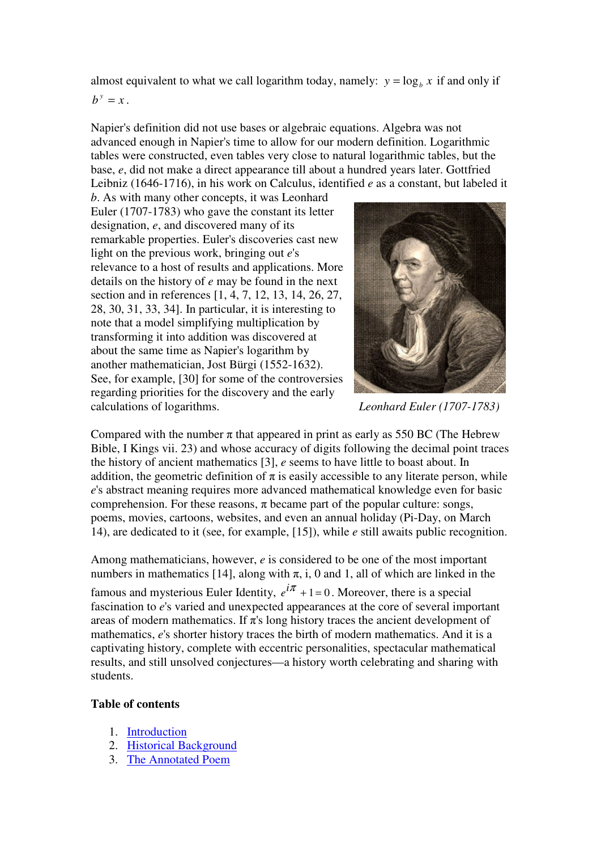almost equivalent to what we call logarithm today, namely:  $y = log_b x$  if and only if  $b^y = x$ .

Napier's definition did not use bases or algebraic equations. Algebra was not advanced enough in Napier's time to allow for our modern definition. Logarithmic tables were constructed, even tables very close to natural logarithmic tables, but the base, *e*, did not make a direct appearance till about a hundred years later. Gottfried Leibniz (1646-1716), in his work on Calculus, identified *e* as a constant, but labeled it

*b*. As with many other concepts, it was Leonhard Euler (1707-1783) who gave the constant its letter designation, *e*, and discovered many of its remarkable properties. Euler's discoveries cast new light on the previous work, bringing out *e*'s relevance to a host of results and applications. More details on the history of *e* may be found in the next section and in references [1, 4, 7, 12, 13, 14, 26, 27, 28, 30, 31, 33, 34]. In particular, it is interesting to note that a model simplifying multiplication by transforming it into addition was discovered at about the same time as Napier's logarithm by another mathematician, Jost Bürgi (1552-1632). See, for example, [30] for some of the controversies regarding priorities for the discovery and the early calculations of logarithms. *Leonhard Euler (1707-1783)*



Compared with the number  $\pi$  that appeared in print as early as 550 BC (The Hebrew Bible, I Kings vii. 23) and whose accuracy of digits following the decimal point traces the history of ancient mathematics [3], *e* seems to have little to boast about. In addition, the geometric definition of  $\pi$  is easily accessible to any literate person, while *e*'s abstract meaning requires more advanced mathematical knowledge even for basic comprehension. For these reasons,  $\pi$  became part of the popular culture: songs, poems, movies, cartoons, websites, and even an annual holiday (Pi-Day, on March 14), are dedicated to it (see, for example, [15]), while *e* still awaits public recognition.

Among mathematicians, however, *e* is considered to be one of the most important numbers in mathematics [14], along with  $\pi$ , i, 0 and 1, all of which are linked in the famous and mysterious Euler Identity,  $e^{i\pi} + 1 = 0$ . Moreover, there is a special fascination to *e*'s varied and unexpected appearances at the core of several important areas of modern mathematics. If  $\pi$ 's long history traces the ancient development of mathematics, *e*'s shorter history traces the birth of modern mathematics. And it is a captivating history, complete with eccentric personalities, spectacular mathematical results, and still unsolved conjectures—a history worth celebrating and sharing with students.

#### **Table of contents**

- 1. Introduction
- 2. Historical Background
- 3. The Annotated Poem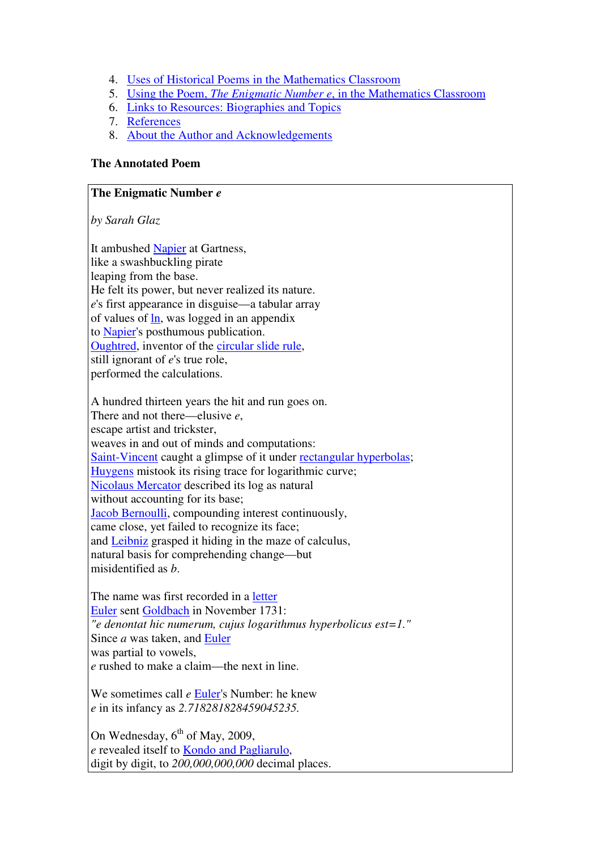- 4. Uses of Historical Poems in the Mathematics Classroom
- 5. Using the Poem, *The Enigmatic Number e*, in the Mathematics Classroom
- 6. Links to Resources: Biographies and Topics
- 7. References
- 8. About the Author and Acknowledgements

## **The Annotated Poem**

### **The Enigmatic Number** *e*

*by Sarah Glaz* 

It ambushed Napier at Gartness, like a swashbuckling pirate leaping from the base. He felt its power, but never realized its nature. *e*'s first appearance in disguise—a tabular array of values of ln, was logged in an appendix to Napier's posthumous publication. Oughtred, inventor of the circular slide rule, still ignorant of *e*'s true role, performed the calculations.

A hundred thirteen years the hit and run goes on. There and not there—elusive *e*, escape artist and trickster, weaves in and out of minds and computations: Saint-Vincent caught a glimpse of it under rectangular hyperbolas; Huygens mistook its rising trace for logarithmic curve; Nicolaus Mercator described its log as natural without accounting for its base; Jacob Bernoulli, compounding interest continuously, came close, yet failed to recognize its face; and Leibniz grasped it hiding in the maze of calculus, natural basis for comprehending change—but misidentified as *b*.

The name was first recorded in a letter Euler sent Goldbach in November 1731: *"e denontat hic numerum, cujus logarithmus hyperbolicus est=1."*  Since *a* was taken, and Euler was partial to vowels, *e* rushed to make a claim—the next in line.

We sometimes call *e* Euler's Number: he knew *e* in its infancy as *2.718281828459045235.*

On Wednesday,  $6^{th}$  of May, 2009, *e* revealed itself to Kondo and Pagliarulo, digit by digit, to *200,000,000,000* decimal places.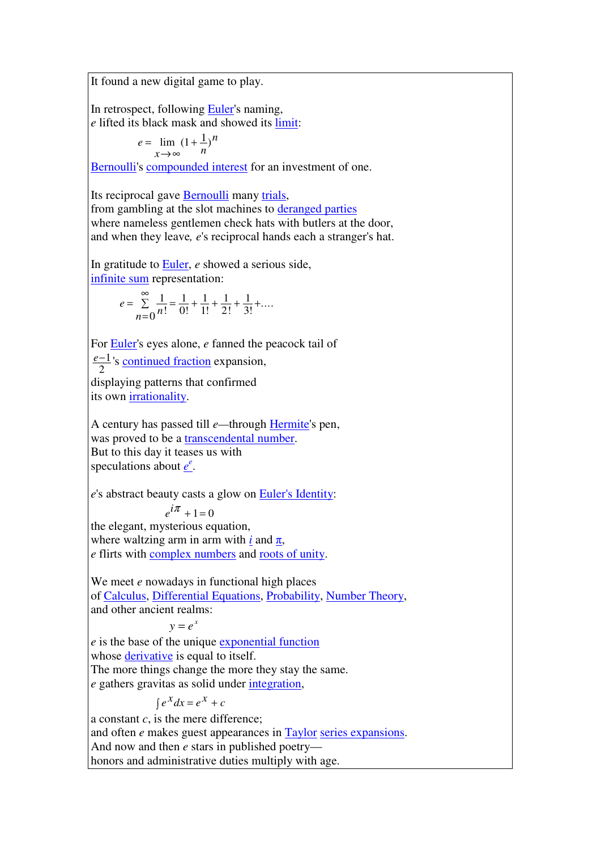It found a new digital game to play.

In retrospect, following Euler's naming, *e* lifted its black mask and showed its limit:

$$
e = \lim_{x \to \infty} (1 + \frac{1}{n})^n
$$

Bernoulli's compounded interest for an investment of one.

Its reciprocal gave Bernoulli many trials, from gambling at the slot machines to deranged parties where nameless gentlemen check hats with butlers at the door, and when they leave*, e*'s reciprocal hands each a stranger's hat.

In gratitude to Euler, *e* showed a serious side, infinite sum representation:

$$
e = \sum_{n=0}^{\infty} \frac{1}{n!} = \frac{1}{0!} + \frac{1}{1!} + \frac{1}{2!} + \frac{1}{3!} + \dots
$$

For Euler's eyes alone, *e* fanned the peacock tail of

*e*−1  $\frac{-1}{2}$ 's <u>continued fraction</u> expansion,

displaying patterns that confirmed its own irrationality.

A century has passed till *e—*through Hermite's pen, was proved to be a transcendental number. But to this day it teases us with speculations about  $\underline{e}^e$ .

*e*'s abstract beauty casts a glow on Euler's Identity:

 *e*  $i\pi$  + 1 = 0

the elegant, mysterious equation, where waltzing arm in arm with *i* and  $\pi$ , *e* flirts with complex numbers and roots of unity.

We meet *e* nowadays in functional high places of Calculus, Differential Equations, Probability, Number Theory, and other ancient realms:

 $y = e^x$ 

*e* is the base of the unique exponential function whose derivative is equal to itself. The more things change the more they stay the same. *e* gathers gravitas as solid under integration,

 $\int e^X dx = e^X + c$ 

a constant *c*, is the mere difference; and often *e* makes guest appearances in Taylor series expansions. And now and then *e* stars in published poetry honors and administrative duties multiply with age.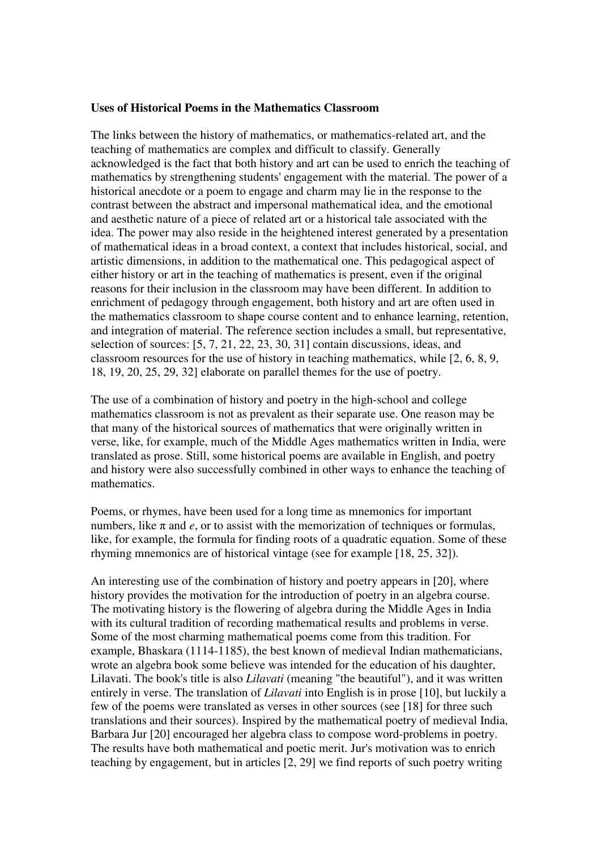#### **Uses of Historical Poems in the Mathematics Classroom**

The links between the history of mathematics, or mathematics-related art, and the teaching of mathematics are complex and difficult to classify. Generally acknowledged is the fact that both history and art can be used to enrich the teaching of mathematics by strengthening students' engagement with the material. The power of a historical anecdote or a poem to engage and charm may lie in the response to the contrast between the abstract and impersonal mathematical idea, and the emotional and aesthetic nature of a piece of related art or a historical tale associated with the idea. The power may also reside in the heightened interest generated by a presentation of mathematical ideas in a broad context, a context that includes historical, social, and artistic dimensions, in addition to the mathematical one. This pedagogical aspect of either history or art in the teaching of mathematics is present, even if the original reasons for their inclusion in the classroom may have been different. In addition to enrichment of pedagogy through engagement, both history and art are often used in the mathematics classroom to shape course content and to enhance learning, retention, and integration of material. The reference section includes a small, but representative, selection of sources: [5, 7, 21, 22, 23, 30, 31] contain discussions, ideas, and classroom resources for the use of history in teaching mathematics, while [2, 6, 8, 9, 18, 19, 20, 25, 29, 32] elaborate on parallel themes for the use of poetry.

The use of a combination of history and poetry in the high-school and college mathematics classroom is not as prevalent as their separate use. One reason may be that many of the historical sources of mathematics that were originally written in verse, like, for example, much of the Middle Ages mathematics written in India, were translated as prose. Still, some historical poems are available in English, and poetry and history were also successfully combined in other ways to enhance the teaching of mathematics.

Poems, or rhymes, have been used for a long time as mnemonics for important numbers, like  $\pi$  and  $e$ , or to assist with the memorization of techniques or formulas, like, for example, the formula for finding roots of a quadratic equation. Some of these rhyming mnemonics are of historical vintage (see for example [18, 25, 32]).

An interesting use of the combination of history and poetry appears in [20], where history provides the motivation for the introduction of poetry in an algebra course. The motivating history is the flowering of algebra during the Middle Ages in India with its cultural tradition of recording mathematical results and problems in verse. Some of the most charming mathematical poems come from this tradition. For example, Bhaskara (1114-1185), the best known of medieval Indian mathematicians, wrote an algebra book some believe was intended for the education of his daughter, Lilavati. The book's title is also *Lilavati* (meaning "the beautiful"), and it was written entirely in verse. The translation of *Lilavati* into English is in prose [10], but luckily a few of the poems were translated as verses in other sources (see [18] for three such translations and their sources). Inspired by the mathematical poetry of medieval India, Barbara Jur [20] encouraged her algebra class to compose word-problems in poetry. The results have both mathematical and poetic merit. Jur's motivation was to enrich teaching by engagement, but in articles [2, 29] we find reports of such poetry writing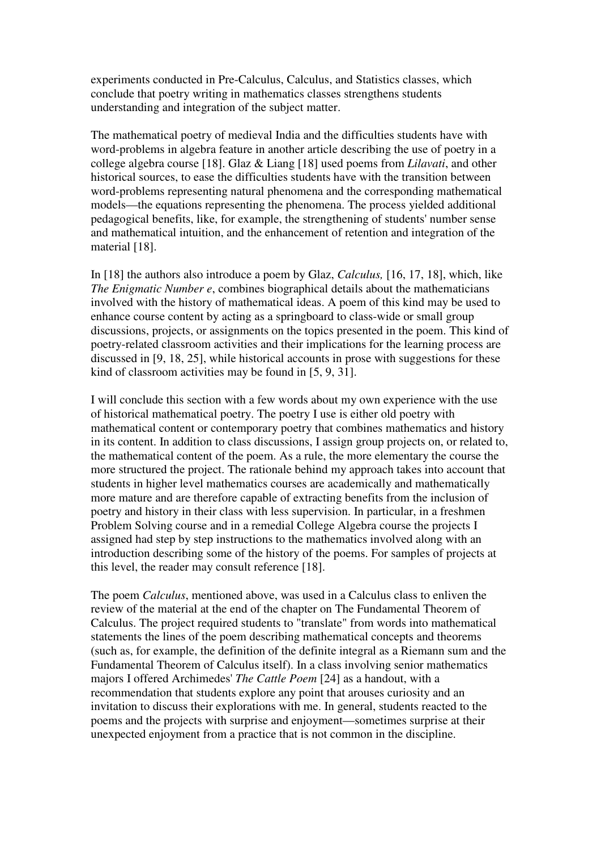experiments conducted in Pre-Calculus, Calculus, and Statistics classes, which conclude that poetry writing in mathematics classes strengthens students understanding and integration of the subject matter.

The mathematical poetry of medieval India and the difficulties students have with word-problems in algebra feature in another article describing the use of poetry in a college algebra course [18]. Glaz & Liang [18] used poems from *Lilavati*, and other historical sources, to ease the difficulties students have with the transition between word-problems representing natural phenomena and the corresponding mathematical models—the equations representing the phenomena. The process yielded additional pedagogical benefits, like, for example, the strengthening of students' number sense and mathematical intuition, and the enhancement of retention and integration of the material [18].

In [18] the authors also introduce a poem by Glaz, *Calculus,* [16, 17, 18], which, like *The Enigmatic Number e*, combines biographical details about the mathematicians involved with the history of mathematical ideas. A poem of this kind may be used to enhance course content by acting as a springboard to class-wide or small group discussions, projects, or assignments on the topics presented in the poem. This kind of poetry-related classroom activities and their implications for the learning process are discussed in [9, 18, 25], while historical accounts in prose with suggestions for these kind of classroom activities may be found in [5, 9, 31].

I will conclude this section with a few words about my own experience with the use of historical mathematical poetry. The poetry I use is either old poetry with mathematical content or contemporary poetry that combines mathematics and history in its content. In addition to class discussions, I assign group projects on, or related to, the mathematical content of the poem. As a rule, the more elementary the course the more structured the project. The rationale behind my approach takes into account that students in higher level mathematics courses are academically and mathematically more mature and are therefore capable of extracting benefits from the inclusion of poetry and history in their class with less supervision. In particular, in a freshmen Problem Solving course and in a remedial College Algebra course the projects I assigned had step by step instructions to the mathematics involved along with an introduction describing some of the history of the poems. For samples of projects at this level, the reader may consult reference [18].

The poem *Calculus*, mentioned above, was used in a Calculus class to enliven the review of the material at the end of the chapter on The Fundamental Theorem of Calculus. The project required students to "translate" from words into mathematical statements the lines of the poem describing mathematical concepts and theorems (such as, for example, the definition of the definite integral as a Riemann sum and the Fundamental Theorem of Calculus itself). In a class involving senior mathematics majors I offered Archimedes' *The Cattle Poem* [24] as a handout, with a recommendation that students explore any point that arouses curiosity and an invitation to discuss their explorations with me. In general, students reacted to the poems and the projects with surprise and enjoyment—sometimes surprise at their unexpected enjoyment from a practice that is not common in the discipline.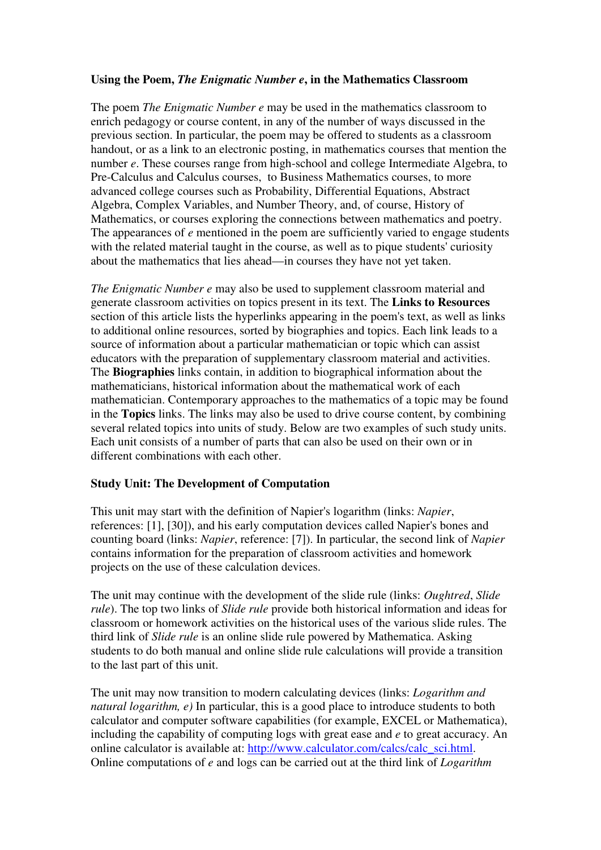#### **Using the Poem,** *The Enigmatic Number e***, in the Mathematics Classroom**

The poem *The Enigmatic Number e* may be used in the mathematics classroom to enrich pedagogy or course content, in any of the number of ways discussed in the previous section. In particular, the poem may be offered to students as a classroom handout, or as a link to an electronic posting, in mathematics courses that mention the number *e*. These courses range from high-school and college Intermediate Algebra, to Pre-Calculus and Calculus courses, to Business Mathematics courses, to more advanced college courses such as Probability, Differential Equations, Abstract Algebra, Complex Variables, and Number Theory, and, of course, History of Mathematics, or courses exploring the connections between mathematics and poetry. The appearances of *e* mentioned in the poem are sufficiently varied to engage students with the related material taught in the course, as well as to pique students' curiosity about the mathematics that lies ahead—in courses they have not yet taken.

*The Enigmatic Number e* may also be used to supplement classroom material and generate classroom activities on topics present in its text. The **Links to Resources** section of this article lists the hyperlinks appearing in the poem's text, as well as links to additional online resources, sorted by biographies and topics. Each link leads to a source of information about a particular mathematician or topic which can assist educators with the preparation of supplementary classroom material and activities. The **Biographies** links contain, in addition to biographical information about the mathematicians, historical information about the mathematical work of each mathematician. Contemporary approaches to the mathematics of a topic may be found in the **Topics** links. The links may also be used to drive course content, by combining several related topics into units of study. Below are two examples of such study units. Each unit consists of a number of parts that can also be used on their own or in different combinations with each other.

#### **Study Unit: The Development of Computation**

This unit may start with the definition of Napier's logarithm (links: *Napier*, references: [1], [30]), and his early computation devices called Napier's bones and counting board (links: *Napier*, reference: [7]). In particular, the second link of *Napier* contains information for the preparation of classroom activities and homework projects on the use of these calculation devices.

The unit may continue with the development of the slide rule (links: *Oughtred*, *Slide rule*). The top two links of *Slide rule* provide both historical information and ideas for classroom or homework activities on the historical uses of the various slide rules. The third link of *Slide rule* is an online slide rule powered by Mathematica. Asking students to do both manual and online slide rule calculations will provide a transition to the last part of this unit.

The unit may now transition to modern calculating devices (links: *Logarithm and natural logarithm, e)* In particular, this is a good place to introduce students to both calculator and computer software capabilities (for example, EXCEL or Mathematica), including the capability of computing logs with great ease and *e* to great accuracy. An online calculator is available at: http://www.calculator.com/calcs/calc\_sci.html. Online computations of *e* and logs can be carried out at the third link of *Logarithm*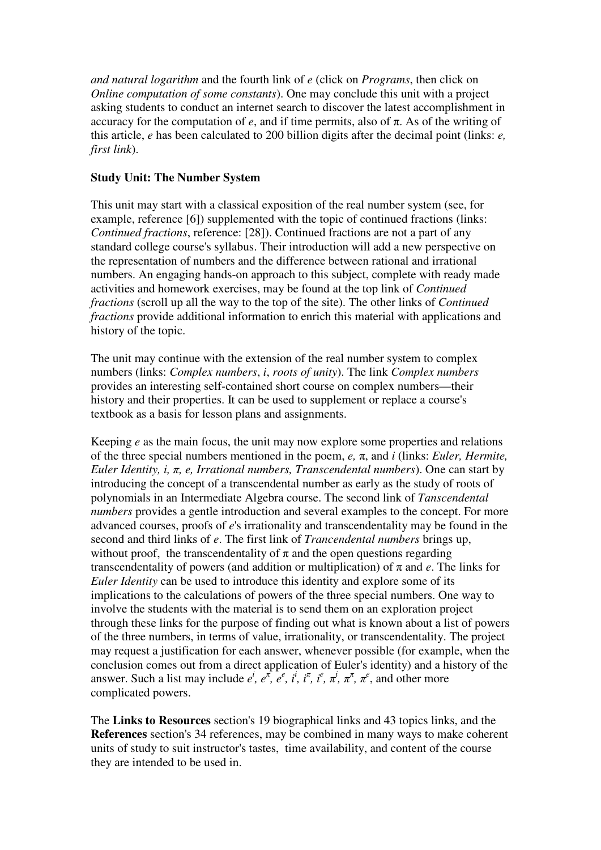*and natural logarithm* and the fourth link of *e* (click on *Programs*, then click on *Online computation of some constants*). One may conclude this unit with a project asking students to conduct an internet search to discover the latest accomplishment in accuracy for the computation of  $e$ , and if time permits, also of  $\pi$ . As of the writing of this article, *e* has been calculated to 200 billion digits after the decimal point (links: *e, first link*).

### **Study Unit: The Number System**

This unit may start with a classical exposition of the real number system (see, for example, reference [6]) supplemented with the topic of continued fractions (links: *Continued fractions*, reference: [28]). Continued fractions are not a part of any standard college course's syllabus. Their introduction will add a new perspective on the representation of numbers and the difference between rational and irrational numbers. An engaging hands-on approach to this subject, complete with ready made activities and homework exercises, may be found at the top link of *Continued fractions* (scroll up all the way to the top of the site). The other links of *Continued fractions* provide additional information to enrich this material with applications and history of the topic.

The unit may continue with the extension of the real number system to complex numbers (links: *Complex numbers*, *i*, *roots of unity*). The link *Complex numbers* provides an interesting self-contained short course on complex numbers—their history and their properties. It can be used to supplement or replace a course's textbook as a basis for lesson plans and assignments.

Keeping *e* as the main focus, the unit may now explore some properties and relations of the three special numbers mentioned in the poem, *e,* π, and *i* (links: *Euler, Hermite, Euler Identity, i,* π*, e, Irrational numbers, Transcendental numbers*). One can start by introducing the concept of a transcendental number as early as the study of roots of polynomials in an Intermediate Algebra course. The second link of *Tanscendental numbers* provides a gentle introduction and several examples to the concept. For more advanced courses, proofs of *e*'s irrationality and transcendentality may be found in the second and third links of *e*. The first link of *Trancendental numbers* brings up, without proof, the transcendentality of  $\pi$  and the open questions regarding transcendentality of powers (and addition or multiplication) of π and *e*. The links for *Euler Identity* can be used to introduce this identity and explore some of its implications to the calculations of powers of the three special numbers. One way to involve the students with the material is to send them on an exploration project through these links for the purpose of finding out what is known about a list of powers of the three numbers, in terms of value, irrationality, or transcendentality. The project may request a justification for each answer, whenever possible (for example, when the conclusion comes out from a direct application of Euler's identity) and a history of the answer. Such a list may include  $e^i$ ,  $e^{\pi}$ ,  $e^e$ ,  $i^i$ ,  $i^{\pi}$ ,  $i^e$ ,  $\pi^i$ ,  $\pi^{\pi}$ ,  $\pi^e$ , and other more complicated powers.

The **Links to Resources** section's 19 biographical links and 43 topics links, and the **References** section's 34 references, may be combined in many ways to make coherent units of study to suit instructor's tastes, time availability, and content of the course they are intended to be used in.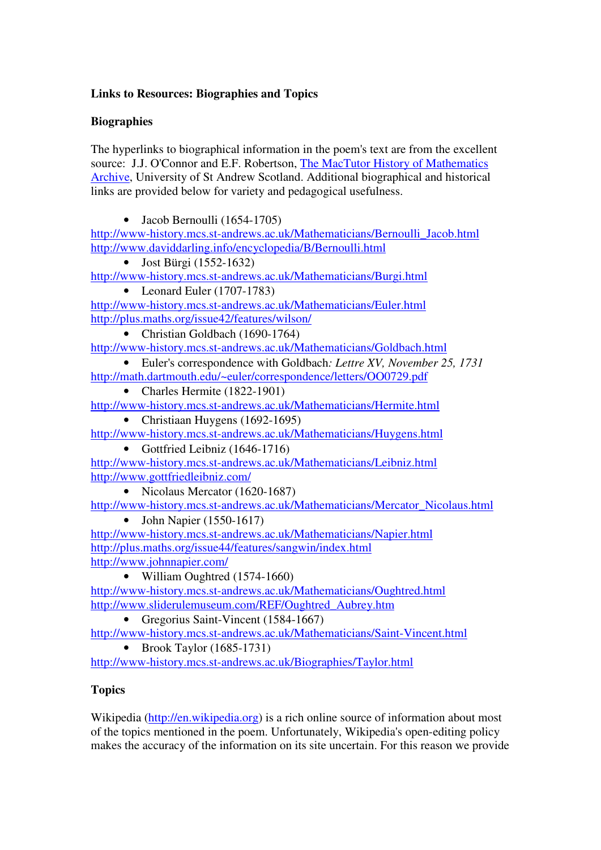# **Links to Resources: Biographies and Topics**

## **Biographies**

The hyperlinks to biographical information in the poem's text are from the excellent source: J.J. O'Connor and E.F. Robertson, The MacTutor History of Mathematics Archive, University of St Andrew Scotland. Additional biographical and historical links are provided below for variety and pedagogical usefulness.

• Jacob Bernoulli (1654-1705)

http://www-history.mcs.st-andrews.ac.uk/Mathematicians/Bernoulli\_Jacob.html http://www.daviddarling.info/encyclopedia/B/Bernoulli.html

• Jost Bürgi (1552-1632)

http://www-history.mcs.st-andrews.ac.uk/Mathematicians/Burgi.html

• Leonard Euler (1707-1783)

http://www-history.mcs.st-andrews.ac.uk/Mathematicians/Euler.html http://plus.maths.org/issue42/features/wilson/

• Christian Goldbach (1690-1764)

http://www-history.mcs.st-andrews.ac.uk/Mathematicians/Goldbach.html

- Euler's correspondence with Goldbach*: Lettre XV, November 25, 1731* http://math.dartmouth.edu/~euler/correspondence/letters/OO0729.pdf
	- Charles Hermite (1822-1901)
- http://www-history.mcs.st-andrews.ac.uk/Mathematicians/Hermite.html
	- Christiaan Huygens (1692-1695)

http://www-history.mcs.st-andrews.ac.uk/Mathematicians/Huygens.html

• Gottfried Leibniz (1646-1716)

http://www-history.mcs.st-andrews.ac.uk/Mathematicians/Leibniz.html http://www.gottfriedleibniz.com/

• Nicolaus Mercator (1620-1687)

http://www-history.mcs.st-andrews.ac.uk/Mathematicians/Mercator\_Nicolaus.html

• John Napier (1550-1617)

http://www-history.mcs.st-andrews.ac.uk/Mathematicians/Napier.html http://plus.maths.org/issue44/features/sangwin/index.html http://www.johnnapier.com/

• William Oughtred (1574-1660)

http://www-history.mcs.st-andrews.ac.uk/Mathematicians/Oughtred.html http://www.sliderulemuseum.com/REF/Oughtred\_Aubrey.htm

• Gregorius Saint-Vincent (1584-1667)

http://www-history.mcs.st-andrews.ac.uk/Mathematicians/Saint-Vincent.html

• Brook Taylor  $(1685-1731)$ 

http://www-history.mcs.st-andrews.ac.uk/Biographies/Taylor.html

# **Topics**

Wikipedia (http://en.wikipedia.org) is a rich online source of information about most of the topics mentioned in the poem. Unfortunately, Wikipedia's open-editing policy makes the accuracy of the information on its site uncertain. For this reason we provide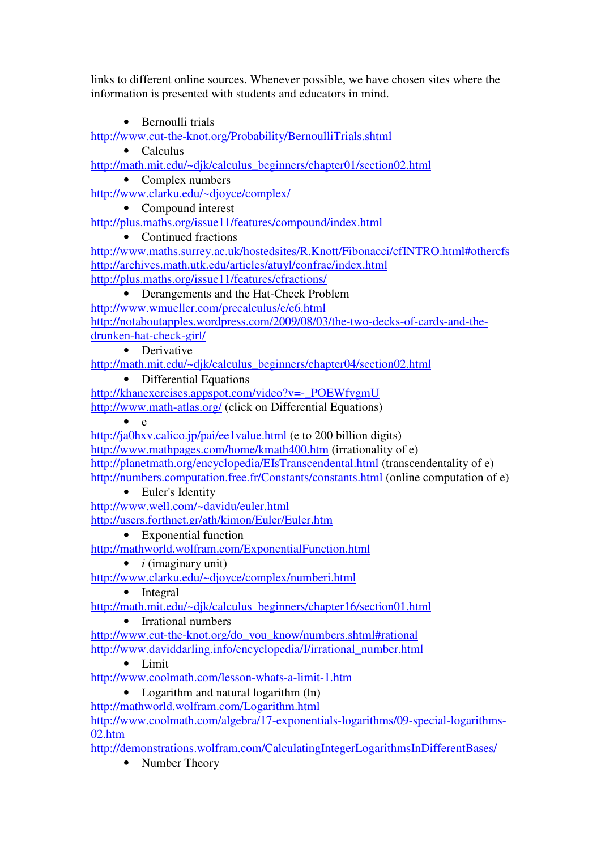links to different online sources. Whenever possible, we have chosen sites where the information is presented with students and educators in mind.

• Bernoulli trials

http://www.cut-the-knot.org/Probability/BernoulliTrials.shtml

• Calculus

http://math.mit.edu/~djk/calculus\_beginners/chapter01/section02.html

• Complex numbers

http://www.clarku.edu/~djoyce/complex/

• Compound interest

http://plus.maths.org/issue11/features/compound/index.html

• Continued fractions

http://www.maths.surrey.ac.uk/hostedsites/R.Knott/Fibonacci/cfINTRO.html#othercfs http://archives.math.utk.edu/articles/atuyl/confrac/index.html http://plus.maths.org/issue11/features/cfractions/

• Derangements and the Hat-Check Problem http://www.wmueller.com/precalculus/e/e6.html http://notaboutapples.wordpress.com/2009/08/03/the-two-decks-of-cards-and-thedrunken-hat-check-girl/

• Derivative

http://math.mit.edu/~djk/calculus\_beginners/chapter04/section02.html

• Differential Equations

http://khanexercises.appspot.com/video?v=-\_POEWfygmU http://www.math-atlas.org/ (click on Differential Equations)

 $\bullet$  e

http://ja0hxv.calico.jp/pai/ee1value.html (e to 200 billion digits) http://www.mathpages.com/home/kmath400.htm (irrationality of e) http://planetmath.org/encyclopedia/EIsTranscendental.html (transcendentality of e) http://numbers.computation.free.fr/Constants/constants.html (online computation of e)

• Euler's Identity

http://www.well.com/~davidu/euler.html http://users.forthnet.gr/ath/kimon/Euler/Euler.htm

• Exponential function

http://mathworld.wolfram.com/ExponentialFunction.html

• *i* (imaginary unit)

http://www.clarku.edu/~djoyce/complex/numberi.html

• Integral

http://math.mit.edu/~djk/calculus\_beginners/chapter16/section01.html

• Irrational numbers

http://www.cut-the-knot.org/do\_you\_know/numbers.shtml#rational http://www.daviddarling.info/encyclopedia/I/irrational\_number.html

• Limit

http://www.coolmath.com/lesson-whats-a-limit-1.htm

• Logarithm and natural logarithm (ln)

http://mathworld.wolfram.com/Logarithm.html

http://www.coolmath.com/algebra/17-exponentials-logarithms/09-special-logarithms-02.htm

http://demonstrations.wolfram.com/CalculatingIntegerLogarithmsInDifferentBases/

• Number Theory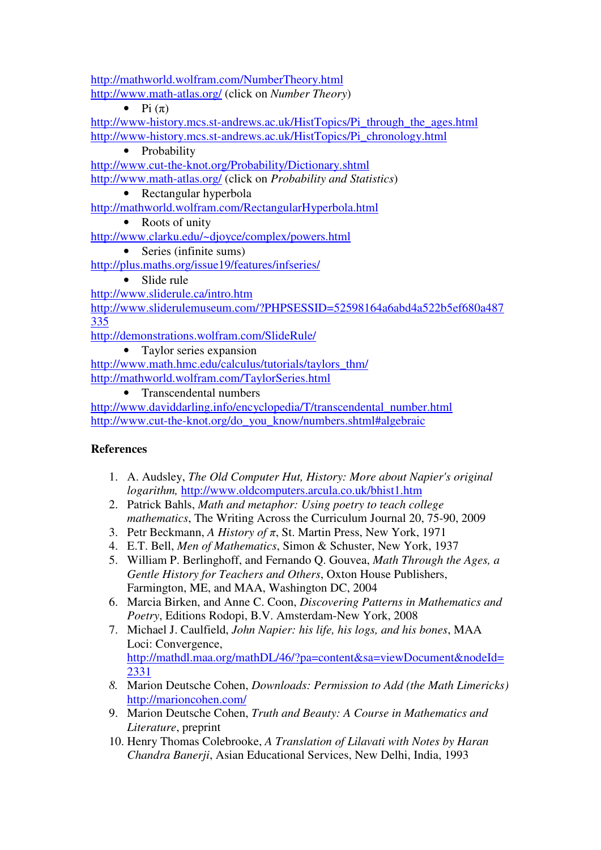http://mathworld.wolfram.com/NumberTheory.html http://www.math-atlas.org/ (click on *Number Theory*)

• Pi  $(\pi)$ 

http://www-history.mcs.st-andrews.ac.uk/HistTopics/Pi\_through\_the\_ages.html http://www-history.mcs.st-andrews.ac.uk/HistTopics/Pi\_chronology.html

• Probability

http://www.cut-the-knot.org/Probability/Dictionary.shtml

http://www.math-atlas.org/ (click on *Probability and Statistics*)

• Rectangular hyperbola

http://mathworld.wolfram.com/RectangularHyperbola.html

• Roots of unity

http://www.clarku.edu/~djoyce/complex/powers.html

• Series (infinite sums)

http://plus.maths.org/issue19/features/infseries/

• Slide rule

http://www.sliderule.ca/intro.htm

http://www.sliderulemuseum.com/?PHPSESSID=52598164a6abd4a522b5ef680a487 335

http://demonstrations.wolfram.com/SlideRule/

• Taylor series expansion

http://www.math.hmc.edu/calculus/tutorials/taylors\_thm/ http://mathworld.wolfram.com/TaylorSeries.html

• Transcendental numbers

http://www.daviddarling.info/encyclopedia/T/transcendental\_number.html http://www.cut-the-knot.org/do\_you\_know/numbers.shtml#algebraic

# **References**

- 1. A. Audsley, *The Old Computer Hut, History: More about Napier's original logarithm,* http://www.oldcomputers.arcula.co.uk/bhist1.htm
- 2. Patrick Bahls, *Math and metaphor: Using poetry to teach college mathematics*, The Writing Across the Curriculum Journal 20, 75-90, 2009
- 3. Petr Beckmann, *A History of* π, St. Martin Press, New York, 1971
- 4. E.T. Bell, *Men of Mathematics*, Simon & Schuster, New York, 1937
- 5. William P. Berlinghoff, and Fernando Q. Gouvea, *Math Through the Ages, a Gentle History for Teachers and Others*, Oxton House Publishers, Farmington, ME, and MAA, Washington DC, 2004
- 6. Marcia Birken, and Anne C. Coon, *Discovering Patterns in Mathematics and Poetry*, Editions Rodopi, B.V. Amsterdam-New York, 2008
- 7. Michael J. Caulfield, *John Napier: his life, his logs, and his bones*, MAA Loci: Convergence, http://mathdl.maa.org/mathDL/46/?pa=content&sa=viewDocument&nodeId= 2331
- *8.* Marion Deutsche Cohen, *Downloads: Permission to Add (the Math Limericks)* http://marioncohen.com/
- 9. Marion Deutsche Cohen, *Truth and Beauty: A Course in Mathematics and Literature*, preprint
- 10. Henry Thomas Colebrooke, *A Translation of Lilavati with Notes by Haran Chandra Banerji*, Asian Educational Services, New Delhi, India, 1993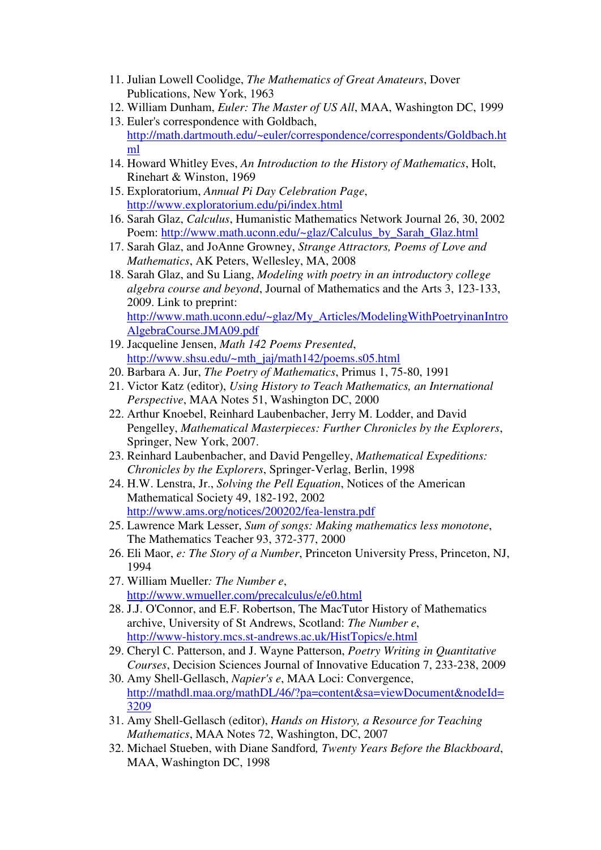- 11. Julian Lowell Coolidge, *The Mathematics of Great Amateurs*, Dover Publications, New York, 1963
- 12. William Dunham, *Euler: The Master of US All*, MAA, Washington DC, 1999
- 13. Euler's correspondence with Goldbach, http://math.dartmouth.edu/~euler/correspondence/correspondents/Goldbach.ht ml
- 14. Howard Whitley Eves, *An Introduction to the History of Mathematics*, Holt, Rinehart & Winston, 1969
- 15. Exploratorium, *Annual Pi Day Celebration Page*, http://www.exploratorium.edu/pi/index.html
- 16. Sarah Glaz, *Calculus*, Humanistic Mathematics Network Journal 26, 30, 2002 Poem: http://www.math.uconn.edu/~glaz/Calculus\_by\_Sarah\_Glaz.html
- 17. Sarah Glaz, and JoAnne Growney, *Strange Attractors, Poems of Love and Mathematics*, AK Peters, Wellesley, MA, 2008
- 18. Sarah Glaz, and Su Liang, *Modeling with poetry in an introductory college algebra course and beyond*, Journal of Mathematics and the Arts 3, 123-133, 2009. Link to preprint: http://www.math.uconn.edu/~glaz/My\_Articles/ModelingWithPoetryinanIntro AlgebraCourse.JMA09.pdf
- 19. Jacqueline Jensen, *Math 142 Poems Presented*, http://www.shsu.edu/~mth\_jaj/math142/poems.s05.html
- 20. Barbara A. Jur, *The Poetry of Mathematics*, Primus 1, 75-80, 1991
- 21. Victor Katz (editor), *Using History to Teach Mathematics, an International Perspective*, MAA Notes 51, Washington DC, 2000
- 22. Arthur Knoebel, Reinhard Laubenbacher, Jerry M. Lodder, and David Pengelley, *Mathematical Masterpieces: Further Chronicles by the Explorers*, Springer, New York, 2007.
- 23. Reinhard Laubenbacher, and David Pengelley, *Mathematical Expeditions: Chronicles by the Explorers*, Springer-Verlag, Berlin, 1998
- 24. H.W. Lenstra, Jr., *Solving the Pell Equation*, Notices of the American Mathematical Society 49, 182-192, 2002 http://www.ams.org/notices/200202/fea-lenstra.pdf
- 25. Lawrence Mark Lesser, *Sum of songs: Making mathematics less monotone*, The Mathematics Teacher 93, 372-377, 2000
- 26. Eli Maor, *e: The Story of a Number*, Princeton University Press, Princeton, NJ, 1994
- 27. William Mueller*: The Number e*, http://www.wmueller.com/precalculus/e/e0.html
- 28. J.J. O'Connor, and E.F. Robertson, The MacTutor History of Mathematics archive, University of St Andrews, Scotland: *The Number e*, http://www-history.mcs.st-andrews.ac.uk/HistTopics/e.html
- 29. Cheryl C. Patterson, and J. Wayne Patterson, *Poetry Writing in Quantitative Courses*, Decision Sciences Journal of Innovative Education 7, 233-238, 2009
- 30. Amy Shell-Gellasch, *Napier's e*, MAA Loci: Convergence, http://mathdl.maa.org/mathDL/46/?pa=content&sa=viewDocument&nodeId= 3209
- 31. Amy Shell-Gellasch (editor), *Hands on History, a Resource for Teaching Mathematics*, MAA Notes 72, Washington, DC, 2007
- 32. Michael Stueben, with Diane Sandford*, Twenty Years Before the Blackboard*, MAA, Washington DC, 1998